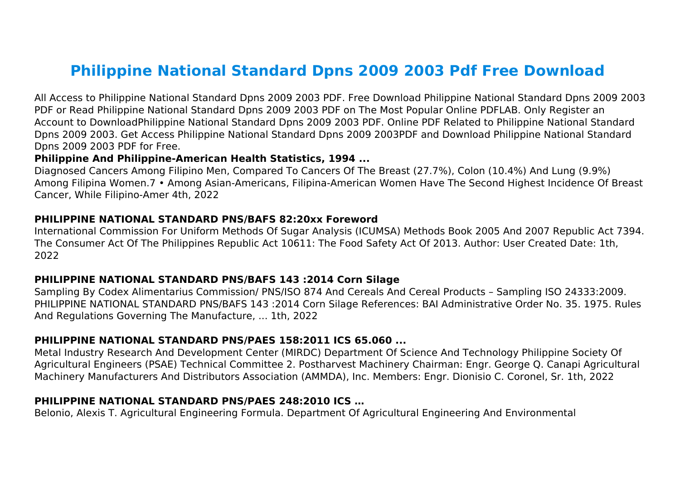# **Philippine National Standard Dpns 2009 2003 Pdf Free Download**

All Access to Philippine National Standard Dpns 2009 2003 PDF. Free Download Philippine National Standard Dpns 2009 2003 PDF or Read Philippine National Standard Dpns 2009 2003 PDF on The Most Popular Online PDFLAB. Only Register an Account to DownloadPhilippine National Standard Dpns 2009 2003 PDF. Online PDF Related to Philippine National Standard Dpns 2009 2003. Get Access Philippine National Standard Dpns 2009 2003PDF and Download Philippine National Standard Dpns 2009 2003 PDF for Free.

#### **Philippine And Philippine-American Health Statistics, 1994 ...**

Diagnosed Cancers Among Filipino Men, Compared To Cancers Of The Breast (27.7%), Colon (10.4%) And Lung (9.9%) Among Filipina Women.7 • Among Asian-Americans, Filipina-American Women Have The Second Highest Incidence Of Breast Cancer, While Filipino-Amer 4th, 2022

#### **PHILIPPINE NATIONAL STANDARD PNS/BAFS 82:20xx Foreword**

International Commission For Uniform Methods Of Sugar Analysis (ICUMSA) Methods Book 2005 And 2007 Republic Act 7394. The Consumer Act Of The Philippines Republic Act 10611: The Food Safety Act Of 2013. Author: User Created Date: 1th, 2022

#### **PHILIPPINE NATIONAL STANDARD PNS/BAFS 143 :2014 Corn Silage**

Sampling By Codex Alimentarius Commission/ PNS/ISO 874 And Cereals And Cereal Products – Sampling ISO 24333:2009. PHILIPPINE NATIONAL STANDARD PNS/BAFS 143 :2014 Corn Silage References: BAI Administrative Order No. 35. 1975. Rules And Regulations Governing The Manufacture, ... 1th, 2022

#### **PHILIPPINE NATIONAL STANDARD PNS/PAES 158:2011 ICS 65.060 ...**

Metal Industry Research And Development Center (MIRDC) Department Of Science And Technology Philippine Society Of Agricultural Engineers (PSAE) Technical Committee 2. Postharvest Machinery Chairman: Engr. George Q. Canapi Agricultural Machinery Manufacturers And Distributors Association (AMMDA), Inc. Members: Engr. Dionisio C. Coronel, Sr. 1th, 2022

#### **PHILIPPINE NATIONAL STANDARD PNS/PAES 248:2010 ICS …**

Belonio, Alexis T. Agricultural Engineering Formula. Department Of Agricultural Engineering And Environmental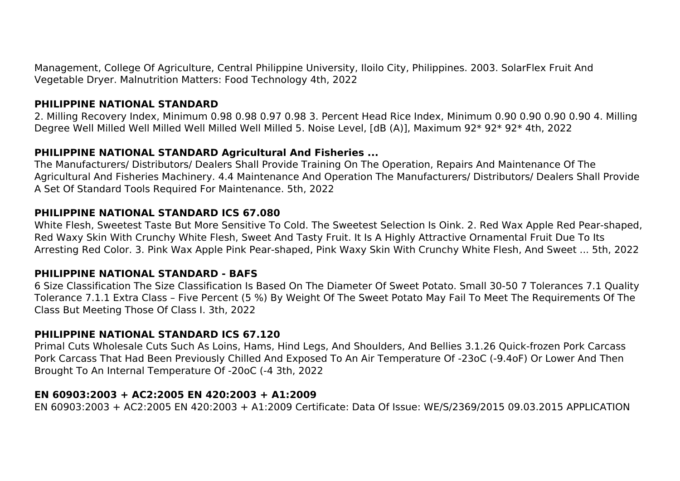Management, College Of Agriculture, Central Philippine University, Iloilo City, Philippines. 2003. SolarFlex Fruit And Vegetable Dryer. Malnutrition Matters: Food Technology 4th, 2022

#### **PHILIPPINE NATIONAL STANDARD**

2. Milling Recovery Index, Minimum 0.98 0.98 0.97 0.98 3. Percent Head Rice Index, Minimum 0.90 0.90 0.90 0.90 4. Milling Degree Well Milled Well Milled Well Milled Well Milled 5. Noise Level, [dB (A)], Maximum 92\* 92\* 92\* 4th, 2022

#### **PHILIPPINE NATIONAL STANDARD Agricultural And Fisheries ...**

The Manufacturers/ Distributors/ Dealers Shall Provide Training On The Operation, Repairs And Maintenance Of The Agricultural And Fisheries Machinery. 4.4 Maintenance And Operation The Manufacturers/ Distributors/ Dealers Shall Provide A Set Of Standard Tools Required For Maintenance. 5th, 2022

#### **PHILIPPINE NATIONAL STANDARD ICS 67.080**

White Flesh, Sweetest Taste But More Sensitive To Cold. The Sweetest Selection Is Oink. 2. Red Wax Apple Red Pear-shaped, Red Waxy Skin With Crunchy White Flesh, Sweet And Tasty Fruit. It Is A Highly Attractive Ornamental Fruit Due To Its Arresting Red Color. 3. Pink Wax Apple Pink Pear-shaped, Pink Waxy Skin With Crunchy White Flesh, And Sweet ... 5th, 2022

## **PHILIPPINE NATIONAL STANDARD - BAFS**

6 Size Classification The Size Classification Is Based On The Diameter Of Sweet Potato. Small 30-50 7 Tolerances 7.1 Quality Tolerance 7.1.1 Extra Class – Five Percent (5 %) By Weight Of The Sweet Potato May Fail To Meet The Requirements Of The Class But Meeting Those Of Class I. 3th, 2022

## **PHILIPPINE NATIONAL STANDARD ICS 67.120**

Primal Cuts Wholesale Cuts Such As Loins, Hams, Hind Legs, And Shoulders, And Bellies 3.1.26 Quick-frozen Pork Carcass Pork Carcass That Had Been Previously Chilled And Exposed To An Air Temperature Of -23oC (-9.4oF) Or Lower And Then Brought To An Internal Temperature Of -20oC (-4 3th, 2022

## **EN 60903:2003 + AC2:2005 EN 420:2003 + A1:2009**

EN 60903:2003 + AC2:2005 EN 420:2003 + A1:2009 Certificate: Data Of Issue: WE/S/2369/2015 09.03.2015 APPLICATION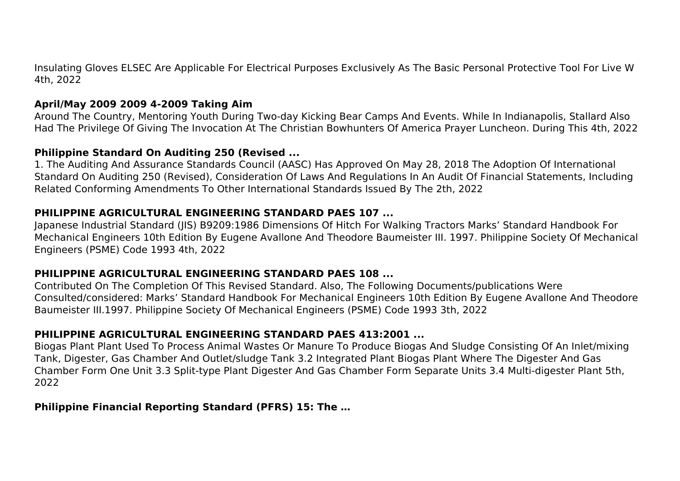Insulating Gloves ELSEC Are Applicable For Electrical Purposes Exclusively As The Basic Personal Protective Tool For Live W 4th, 2022

## **April/May 2009 2009 4-2009 Taking Aim**

Around The Country, Mentoring Youth During Two-day Kicking Bear Camps And Events. While In Indianapolis, Stallard Also Had The Privilege Of Giving The Invocation At The Christian Bowhunters Of America Prayer Luncheon. During This 4th, 2022

## **Philippine Standard On Auditing 250 (Revised ...**

1. The Auditing And Assurance Standards Council (AASC) Has Approved On May 28, 2018 The Adoption Of International Standard On Auditing 250 (Revised), Consideration Of Laws And Regulations In An Audit Of Financial Statements, Including Related Conforming Amendments To Other International Standards Issued By The 2th, 2022

#### **PHILIPPINE AGRICULTURAL ENGINEERING STANDARD PAES 107 ...**

Japanese Industrial Standard (JIS) B9209:1986 Dimensions Of Hitch For Walking Tractors Marks' Standard Handbook For Mechanical Engineers 10th Edition By Eugene Avallone And Theodore Baumeister III. 1997. Philippine Society Of Mechanical Engineers (PSME) Code 1993 4th, 2022

## **PHILIPPINE AGRICULTURAL ENGINEERING STANDARD PAES 108 ...**

Contributed On The Completion Of This Revised Standard. Also, The Following Documents/publications Were Consulted/considered: Marks' Standard Handbook For Mechanical Engineers 10th Edition By Eugene Avallone And Theodore Baumeister III.1997. Philippine Society Of Mechanical Engineers (PSME) Code 1993 3th, 2022

## **PHILIPPINE AGRICULTURAL ENGINEERING STANDARD PAES 413:2001 ...**

Biogas Plant Plant Used To Process Animal Wastes Or Manure To Produce Biogas And Sludge Consisting Of An Inlet/mixing Tank, Digester, Gas Chamber And Outlet/sludge Tank 3.2 Integrated Plant Biogas Plant Where The Digester And Gas Chamber Form One Unit 3.3 Split-type Plant Digester And Gas Chamber Form Separate Units 3.4 Multi-digester Plant 5th, 2022

## **Philippine Financial Reporting Standard (PFRS) 15: The …**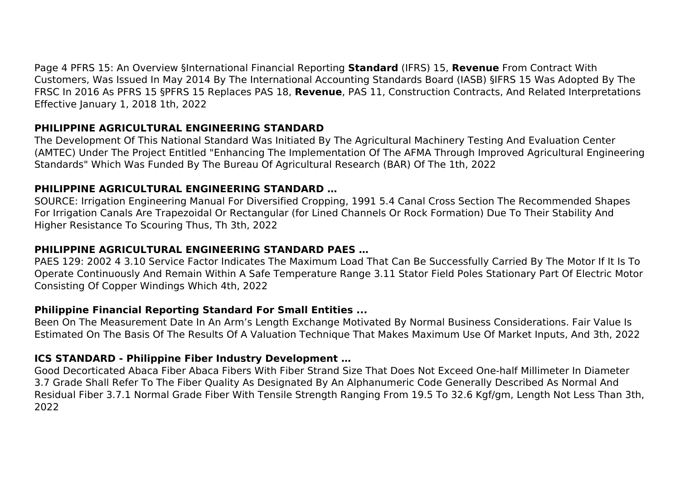Page 4 PFRS 15: An Overview §International Financial Reporting **Standard** (IFRS) 15, **Revenue** From Contract With Customers, Was Issued In May 2014 By The International Accounting Standards Board (IASB) §IFRS 15 Was Adopted By The FRSC In 2016 As PFRS 15 §PFRS 15 Replaces PAS 18, **Revenue**, PAS 11, Construction Contracts, And Related Interpretations Effective January 1, 2018 1th, 2022

## **PHILIPPINE AGRICULTURAL ENGINEERING STANDARD**

The Development Of This National Standard Was Initiated By The Agricultural Machinery Testing And Evaluation Center (AMTEC) Under The Project Entitled "Enhancing The Implementation Of The AFMA Through Improved Agricultural Engineering Standards" Which Was Funded By The Bureau Of Agricultural Research (BAR) Of The 1th, 2022

## **PHILIPPINE AGRICULTURAL ENGINEERING STANDARD …**

SOURCE: Irrigation Engineering Manual For Diversified Cropping, 1991 5.4 Canal Cross Section The Recommended Shapes For Irrigation Canals Are Trapezoidal Or Rectangular (for Lined Channels Or Rock Formation) Due To Their Stability And Higher Resistance To Scouring Thus, Th 3th, 2022

## **PHILIPPINE AGRICULTURAL ENGINEERING STANDARD PAES …**

PAES 129: 2002 4 3.10 Service Factor Indicates The Maximum Load That Can Be Successfully Carried By The Motor If It Is To Operate Continuously And Remain Within A Safe Temperature Range 3.11 Stator Field Poles Stationary Part Of Electric Motor Consisting Of Copper Windings Which 4th, 2022

# **Philippine Financial Reporting Standard For Small Entities ...**

Been On The Measurement Date In An Arm's Length Exchange Motivated By Normal Business Considerations. Fair Value Is Estimated On The Basis Of The Results Of A Valuation Technique That Makes Maximum Use Of Market Inputs, And 3th, 2022

## **ICS STANDARD - Philippine Fiber Industry Development …**

Good Decorticated Abaca Fiber Abaca Fibers With Fiber Strand Size That Does Not Exceed One-half Millimeter In Diameter 3.7 Grade Shall Refer To The Fiber Quality As Designated By An Alphanumeric Code Generally Described As Normal And Residual Fiber 3.7.1 Normal Grade Fiber With Tensile Strength Ranging From 19.5 To 32.6 Kgf/gm, Length Not Less Than 3th, 2022